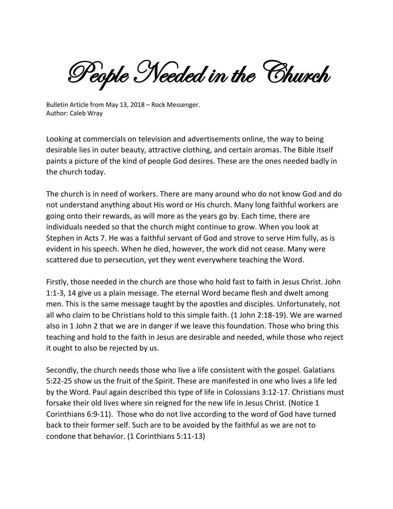People Needed in the Church

Bulletin Article from May 13, 2018 – Rock Messenger. Author: Caleb Wray

Looking at commercials on television and advertisements online, the way to being desirable lies in outer beauty, attractive clothing, and certain aromas. The Bible itself paints a picture of the kind of people God desires. These are the ones needed badly in the church today.

The church is in need of workers. There are many around who do not know God and do not understand anything about His word or His church. Many long faithful workers are going onto their rewards, as will more as the years go by. Each time, there are individuals needed so that the church might continue to grow. When you look at Stephen in Acts 7. He was a faithful servant of God and strove to serve Him fully, as is evident in his speech. When he died, however, the work did not cease. Many were scattered due to persecution, yet they went everywhere teaching the Word.

Firstly, those needed in the church are those who hold fast to faith in Jesus Christ. John 1:1-3, 14 give us a plain message. The eternal Word became flesh and dwelt among men. This is the same message taught by the apostles and disciples. Unfortunately, not all who claim to be Christians hold to this simple faith. (1 John 2:18-19). We are warned also in 1 John 2 that we are in danger if we leave this foundation. Those who bring this teaching and hold to the faith in Jesus are desirable and needed, while those who reject it ought to also be rejected by us.

Secondly, the church needs those who live a life consistent with the gospel. Galatians 5:22-25 show us the fruit of the Spirit. These are manifested in one who lives a life led by the Word. Paul again described this type of life in Colossians 3:12-17. Christians must forsake their old lives where sin reigned for the new life in Jesus Christ. (Notice 1 Corinthians 6:9-11). Those who do not live according to the word of God have turned back to their former self. Such are to be avoided by the faithful as we are not to condone that behavior. (1 Corinthians 5:11-13)